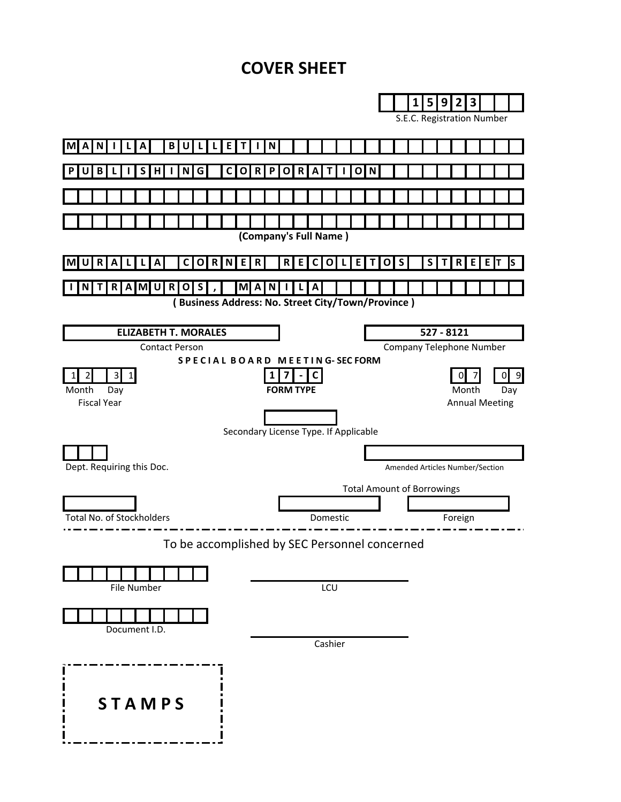# **COVER SHEET**

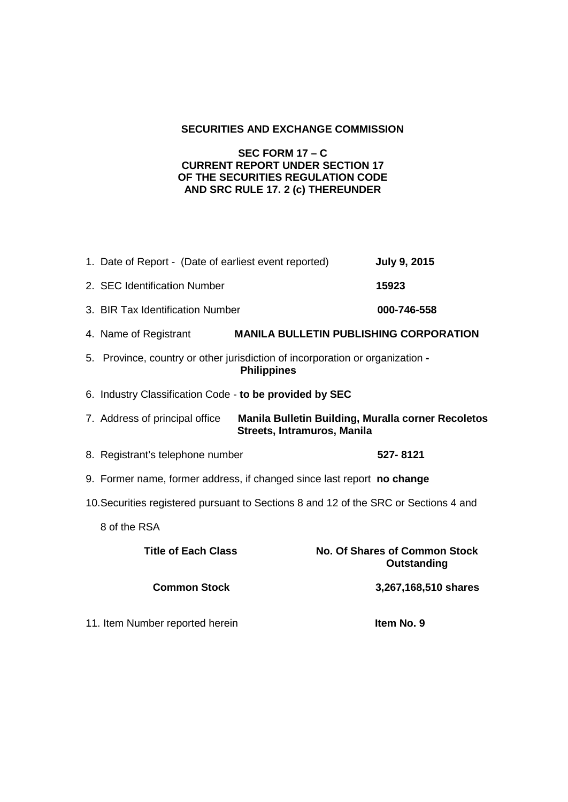## **SECURITIES AND EXCHANGE COMMISSION**

## **SEC FORM 17 – C CURRENT REPORT UNDER SECTION 17 OF THE SECURITIES REGULATION CODE AND SRC RULE 17. 2 (c) THEREUNDER**

|                                                                                      | 1. Date of Report - (Date of earliest event reported)                                                                      | <b>July 9, 2015</b>                                 |
|--------------------------------------------------------------------------------------|----------------------------------------------------------------------------------------------------------------------------|-----------------------------------------------------|
|                                                                                      | 2. SEC Identification Number                                                                                               | 15923                                               |
|                                                                                      | 3. BIR Tax Identification Number                                                                                           | 000-746-558                                         |
|                                                                                      | 4. Name of Registrant                                                                                                      | <b>MANILA BULLETIN PUBLISHING CORPORATION</b>       |
|                                                                                      | 5. Province, country or other jurisdiction of incorporation or organization -<br><b>Philippines</b>                        |                                                     |
|                                                                                      | 6. Industry Classification Code - to be provided by SEC                                                                    |                                                     |
|                                                                                      | <b>Manila Bulletin Building, Muralla corner Recoletos</b><br>7. Address of principal office<br>Streets, Intramuros, Manila |                                                     |
|                                                                                      | 8. Registrant's telephone number                                                                                           | 527-8121                                            |
|                                                                                      | 9. Former name, former address, if changed since last report no change                                                     |                                                     |
| 10. Securities registered pursuant to Sections 8 and 12 of the SRC or Sections 4 and |                                                                                                                            |                                                     |
|                                                                                      | 8 of the RSA                                                                                                               |                                                     |
|                                                                                      | <b>Title of Each Class</b>                                                                                                 | <b>No. Of Shares of Common Stock</b><br>Outstanding |
|                                                                                      | <b>Common Stock</b>                                                                                                        | 3,267,168,510 shares                                |
|                                                                                      | 11. Item Number reported herein                                                                                            | Item No. 9                                          |